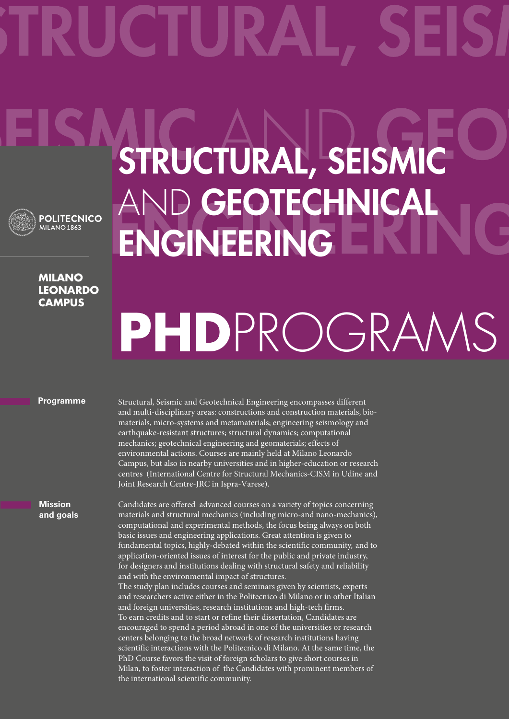

## **Milano leonardo Campus**

## STRUCTURAL, SEISMIC AND GEOTECHNICAL ENGINEERING

# **PhD**ProgramS

## **Programme**

Structural, Seismic and Geotechnical Engineering encompasses different and multi-disciplinary areas: constructions and construction materials, biomaterials, micro-systems and metamaterials; engineering seismology and earthquake-resistant structures; structural dynamics; computational mechanics; geotechnical engineering and geomaterials; effects of environmental actions. Courses are mainly held at Milano Leonardo Campus, but also in nearby universities and in higher-education or research centres (International Centre for Structural Mechanics-CISM in Udine and Joint Research Centre-JRC in Ispra-Varese).

**Mission and goals** Candidates are offered advanced courses on a variety of topics concerning materials and structural mechanics (including micro-and nano-mechanics), computational and experimental methods, the focus being always on both basic issues and engineering applications. Great attention is given to fundamental topics, highly-debated within the scientific community, and to application-oriented issues of interest for the public and private industry, for designers and institutions dealing with structural safety and reliability and with the environmental impact of structures. The study plan includes courses and seminars given by scientists, experts and researchers active either in the Politecnico di Milano or in other Italian and foreign universities, research institutions and high-tech firms. To earn credits and to start or refine their dissertation, Candidates are encouraged to spend a period abroad in one of the universities or research centers belonging to the broad network of research institutions having scientific interactions with the Politecnico di Milano. At the same time, the PhD Course favors the visit of foreign scholars to give short courses in Milan, to foster interaction of the Candidates with prominent members of the international scientific community.